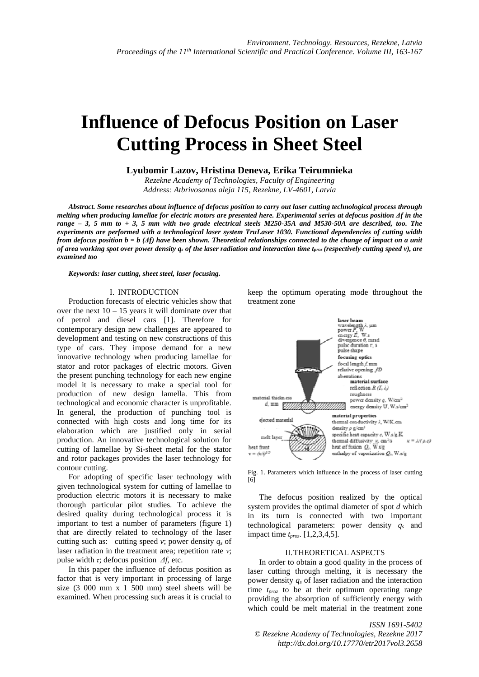# **Influence of Defocus Position on Laser Cutting Process in Sheet Steel**

# **Lyubomir Lazov, Hristina Deneva, Erika Teirumnieka**

*Rezekne Academy of Technologies, Faculty of Engineering Address: Atbrivosanas aleja 115, Rezekne, LV-4601, Latvia*

*Abstract. Some researches about influence of defocus position to carry out laser cutting technological process through melting when producing lamellae for electric motors are presented here. Experimental series at defocus position Δf in the range – 3, 5 mm to + 3, 5 mm with two grade electrical steels M250-35A and M530-50A are described, too. The experiments are performed with a technological laser system TruLaser 1030. Functional dependencies of cutting width from defocus position b = b (Δf) have been shown. Theoretical relationships connected to the change of impact on a unit of area working spot over power density qs of the laser radiation and interaction time tproz (respectively cutting speed v), are examined too* 

#### *Keywords: laser cutting, sheet steel, laser focusing.*

## I. INTRODUCTION

Production forecasts of electric vehicles show that over the next  $10 - 15$  years it will dominate over that of petrol and diesel cars [1]. Therefore for contemporary design new challenges are appeared to development and testing on new constructions of this type of cars. They impose demand for a new innovative technology when producing lamellae for stator and rotor packages of electric motors. Given the present punching technology for each new engine model it is necessary to make a special tool for production of new design lamella. This from technological and economic character is unprofitable. In general, the production of punching tool is connected with high costs and long time for its elaboration which are justified only in serial production. An innovative technological solution for cutting of lamellae by Si-sheet metal for the stator and rotor packages provides the laser technology for contour cutting.

For adopting of specific laser technology with given technological system for cutting of lamellae to production electric motors it is necessary to make thorough particular pilot studies. To achieve the desired quality during technological process it is important to test a number of parameters (figure 1) that are directly related to technology of the laser cutting such as: cutting speed *v*; power density *qs* of laser radiation in the treatment area; repetition rate *ν*; pulse width *τ*; defocus position *Δf*, etc.

In this paper the influence of defocus position as factor that is very important in processing of large size (3 000 mm x 1 500 mm) steel sheets will be examined. When processing such areas it is crucial to

keep the optimum operating mode throughout the treatment zone



Fig. 1. Parameters which influence in the process of laser cutting [6]

The defocus position realized by the optical system provides the optimal diameter of spot *d* which in its turn is connected with two important technological parameters: power density *qs* and impact time *tproz*. [1,2,3,4,5].

### II.THEORETICAL ASPECTS

In order to obtain a good quality in the process of laser cutting through melting, it is necessary the power density *qs* of laser radiation and the interaction time *tproz* to be at their optimum operating range providing the absorption of sufficiently energy with which could be melt material in the treatment zone

*ISSN 1691-5402 © Rezekne Academy of Technologies, Rezekne 2017 http://dx.doi.org/10.17770/etr2017vol3.2658*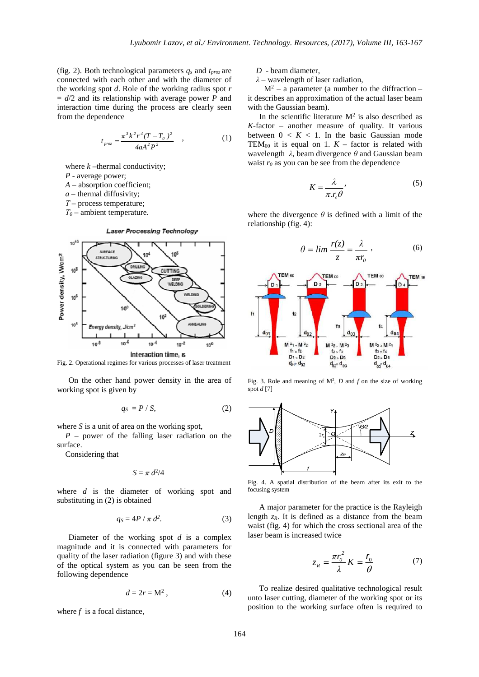(fig. 2). Both technological parameters *qs* and *tproz* are connected with each other and with the diameter of the working spot *d*. Role of the working radius spot *r*  $= d/2$  and its relationship with average power *P* and interaction time during the process are clearly seen from the dependence

$$
t_{\text{prox}} = \frac{\pi^3 k^2 r^4 (T - T_0)^2}{4 a A^2 P^2} \quad , \tag{1}
$$

where  $k$  –thermal conductivity;

- *P*  average power;
- *A*  absorption coefficient;
- $a$  thermal diffusivity:

*Т* – process temperature;

*Т0* – ambient temperature.



Fig. 2. Operational regimes for various processes of laser treatment

On the other hand power density in the area of working spot is given by

$$
q_S = P / S,\tag{2}
$$

where *S* is a unit of area on the working spot,

*P* – power of the falling laser radiation on the surface.

Considering that

$$
S=\pi\; d^2/4
$$

where *d* is the diameter of working spot and substituting in (2) is obtained

$$
q_S = 4P / \pi d^2. \tag{3}
$$

Diameter of the working spot *d* is a complex magnitude and it is connected with parameters for quality of the laser radiation (figure 3) and with these of the optical system as you can be seen from the following dependence

$$
d = 2r = M^2, \tag{4}
$$

where  $f$  is a focal distance,

*D* - beam diameter,

*λ* – wavelength of laser radiation,

 $M^2$  – a parameter (a number to the diffraction – it describes an approximation of the actual laser beam with the Gaussian beam).

In the scientific literature  $M^2$  is also described as  $K$ -factor – another measure of quality. It various between  $0 \lt K \lt 1$ . In the basic Gaussian mode TEM<sub>00</sub> it is equal on 1.  $K$  – factor is related with wavelength *λ*, beam divergence *θ* and Gaussian beam waist  $r_0$  as you can be see from the dependence

$$
K = \frac{\lambda}{\pi r_0 \theta},\tag{5}
$$

where the divergence  $\theta$  is defined with a limit of the relationship (fig. 4):

$$
\theta = \lim \frac{r(z)}{z} = \frac{\lambda}{\pi r_0},
$$
\n(6)



Fig. 3. Role and meaning of  $M^2$ , *D* and *f* on the size of working spot *d* [7]



Fig. 4. A spatial distribution of the beam after its exit to the focusing system

A major parameter for the practice is the Rayleigh length  $z_R$ . It is defined as a distance from the beam waist (fig. 4) for which the cross sectional area of the laser beam is increased twice

$$
z_R = \frac{\pi r_0^2}{\lambda} K = \frac{r_0}{\theta} \tag{7}
$$

To realize desired qualitative technological result unto laser cutting, diameter of the working spot or its position to the working surface often is required to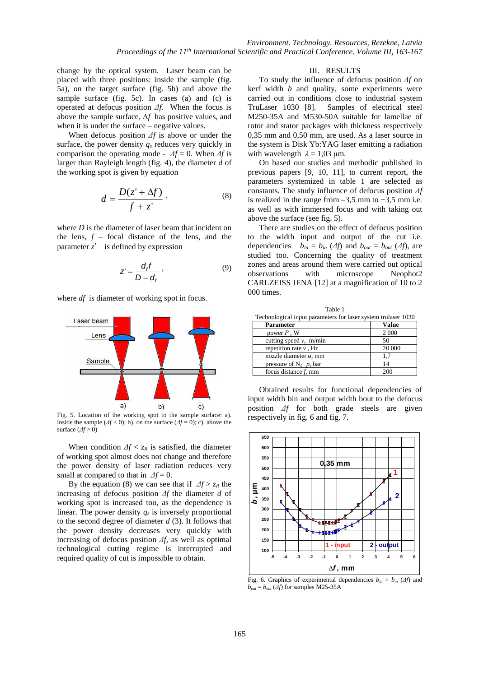change by the optical system. Laser beam can be placed with three positions: inside the sample (fig. 5a), on the target surface (fig. 5b) and above the sample surface (fig. 5c). In cases (a) and (c) is operated at defocus position *Δf.* When the focus is above the sample surface, Δ*f* has positive values, and when it is under the surface – negative values.

When defocus position *Δf* is above or under the surface, the power density  $q_s$  reduces very quickly in comparison the operating mode -  $\Delta f = 0$ . When  $\Delta f$  is larger than Rayleigh length (fig. 4), the diameter *d* of the working spot is given by equation

$$
d = \frac{D(z' + \Delta f)}{f + z'},
$$
 (8)

where *D* is the diameter of laser beam that incident on the lens,  $f$  – focal distance of the lens, and the parameter  $z'$  is defined by expression

$$
Z' = \frac{d_f f}{D - d_f} \tag{9}
$$

where *df* is diameter of working spot in focus.



Fig. 5. Location of the working spot to the sample surface: a). inside the sample ( $\Delta f$  < 0); b). on the surface ( $\Delta f$  = 0); c). above the surface  $(\Delta f > 0)$ 

When condition  $\Delta f < z_R$  is satisfied, the diameter of working spot almost does not change and therefore the power density of laser radiation reduces very small at compared to that in  $\Delta f = 0$ .

By the equation (8) we can see that if  $\Delta f > z_R$  the increasing of defocus position *Δf* the diameter *d* of working spot is increased too, as the dependence is linear. The power density *q<sup>s</sup>* is inversely proportional to the second degree of diameter *d* (3). It follows that the power density decreases very quickly with increasing of defocus position *Δf*, as well as optimal technological cutting regime is interrupted and required quality of cut is impossible to obtain.

# III. RESULTS

To study the influence of defocus position *Δf* on kerf width *b* and quality, some experiments were carried out in conditions close to industrial system TruLaser 1030 [8]. Samples of electrical steel M250-35A and M530-50A suitable for lamellae of rotor and stator packages with thickness respectively 0,35 mm and 0,50 mm, are used. As a laser source in the system is Disk Yb:YAG laser emitting a radiation with wavelength  $\lambda = 1.03$  μm.

On based our studies and methodic published in previous papers [9, 10, 11], to current report, the parameters systemized in table 1 are selected as constants. The study influence of defocus position *Δf* is realized in the range from  $-3.5$  mm to  $+3.5$  mm i.e. as well as with immersed focus and with taking out above the surface (see fig. 5).

There are studies on the effect of defocus position to the width input and output of the cut i.e. dependencies  $b_{in} = b_{in}$  (*Δf*) and  $b_{out} = b_{out}$  (*Δf*), are studied too. Concerning the quality of treatment zones and areas around them were carried out optical observations with microscope Neophot2 CARLZEISS JENA [12] at a magnification of 10 to 2 000 times.

| Table 1                                                       |       |
|---------------------------------------------------------------|-------|
| Technological input parameters for laser system trulaser 1030 |       |
| Parameter                                                     | Value |

| Parameter                  | Value   |
|----------------------------|---------|
| power $P$ , W              | 2 0 0 0 |
| cutting speed $v$ , m/min  | 50      |
| repetition rate $\nu$ , Hz | 20 000  |
| nozzle diameter ø, mm      |         |
| pressure of $N_2$ p, bar   | 14      |
| focus distance $f$ , mm    |         |

Obtained results for functional dependencies of input width bin and output width bout to the defocus position *Δf* for both grade steels are given respectively in fig. 6 and fig. 7.



Fig. 6. Graphics of experimental dependencies  $b_{in} = b_{in}$  ( $\Delta f$ ) and  $b_{out} = b_{out}$  (*Δf*) for samples M25-35A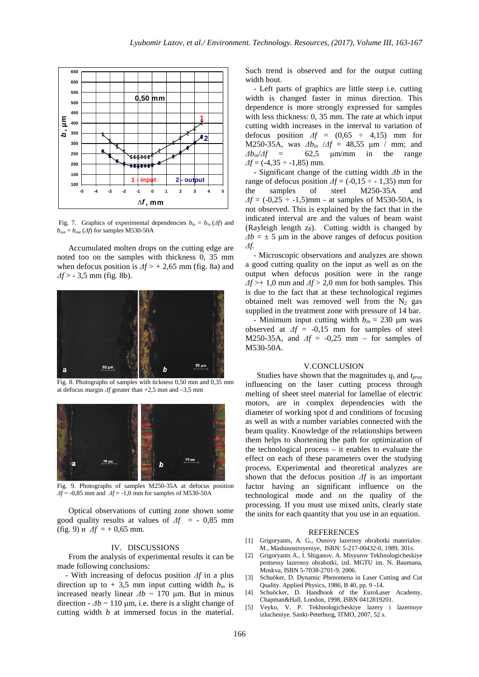

Fig. 7. Graphics of experimental dependencies  $b_{in} = b_{in}(\Delta f)$  and  $b_{out} = b_{out} (Af)$  for samples M530-50A

Accumulated molten drops on the cutting edge are noted too on the samples with thickness 0, 35 mm when defocus position is  $\Delta f$  > + 2,65 mm (fig. 8a) and *Δf* > - 3,5 mm (fig. 8b).



Fig. 8. Photographs of samples with tickness 0,50 mm and 0,35 mm at defocus margin *Δf* greater than +2,5 mm and –3,5 mm



Fig. 9. Photographs of samples М250-35А at defocus position *Δf* = -0,85 mm and *Δf* = -1,0 mm for samples of М530-50А

Optical observations of cutting zone shown some good quality results at values of *Δf* = - 0,85 mm (fig. 9) и  $\Delta f$  = + 0,65 mm.

#### IV. DISCUSSIONS

From the analysis of experimental results it can be made following conclusions:

- With increasing of defocus position *Δf* in a plus direction up to  $+3.5$  mm input cutting width  $b_{in}$  is increased nearly linear  $\Delta b \sim 170$  μm. But in minus direction  $-\Delta b \sim 110 \text{ µm}$ , i.e. there is a slight change of cutting width *b* at immersed focus in the material. Such trend is observed and for the output cutting width bout.

- Left parts of graphics are little steep i.e. cutting width is changed faster in minus direction. This dependence is more strongly expressed for samples with less thickness: 0, 35 mm. The rate at which input cutting width increases in the interval to variation of defocus position *Δf* = (0,65 ÷ 4,15) mm for M250-35A, was  $Δb<sub>in</sub> /Δf = 48,55 \mu m / mm$ ; and  $Δb<sub>in</sub> /Δf = 62.5 \mu m/mm$  in the range  $\Delta b_{in}/\Delta f$  = 62,5 μm/mm in the range  $\Delta f = (-4.35 \div -1.85)$  mm.

- Significant change of the cutting width *Δb* in the range of defocus position  $\Delta f = (-0.15 \div 1.35)$  mm for the samples of steel М250-35А and  $\Delta f = (-0.25 \div -1.5)$  mm - at samples of M530-50A, is not observed. This is explained by the fact that in the indicated interval are and the values of beam waist (Rayleigh length *zR*). Cutting width is changed by  $\Delta b = \pm 5$  μm in the above ranges of defocus position *Δf*.

- Microscopic observations and analyzes are shown a good cutting quality on the input as well as on the output when defocus position were in the range *Δf* >+ 1,0 mm and *Δf* > 2,0 mm for both samples. This is due to the fact that at these technological regimes obtained melt was removed well from the  $N_2$  gas supplied in the treatment zone with pressure of 14 bar.

- Minimum input cutting width  $b_{in} = 230$  µm was observed at  $\Delta f = -0.15$  mm for samples of steel M250-35A, and *Δf* = -0,25 mm – for samples of M530-50A.

## V.CONCLUSION

Studies have shown that the magnitudes *qs* and *tproz* influencing on the laser cutting process through melting of sheet steel material for lamellae of electric motors, are in complex dependencies with the diameter of working spot d and conditions of focusing as well as with a number variables connected with the beam quality. Knowledge of the relationships between them helps to shortening the path for optimization of the technological process – it enables to evaluate the effect on each of these parameters over the studying process. Experimental and theoretical analyzes are shown that the defocus position *Δf* is an important factor having an significant influence on the technological mode and on the quality of the processing. If you must use mixed units, clearly state the units for each quantity that you use in an equation.

### **REFERENCES**

- [1] Grigoryants, A. G., Osnovy lazernoy obrabotki materialov. M., Mashinostroyeniye, ISBN: 5-217-00432-0, 1989, 301s.
- [2] Grigoryants A., I. Shiganov, A. Misyurov Tekhnologicheskiye protsessy lazernoy obrabotki, izd. MGTU im. N. Baumana, Moskva, ISBN 5-7038-2701-9, 2006.
- [3] Schuöker, D. Dynamic Phenomena in Laser Cutting and Cut Quality. Applied Physics, 1986, B 40, pp. 9 -14.
- [4] Schuöcker, D. Handbook of the EuroLaser Academy, Chapman&Hall, London, 1998, ISBN 0412819201.
- [5] Veyko, V. P. Tekhnologicheskiye lazery i lazernoye izlucheniye. Sankt-Peterburg, ITMO, 2007, 52 s.